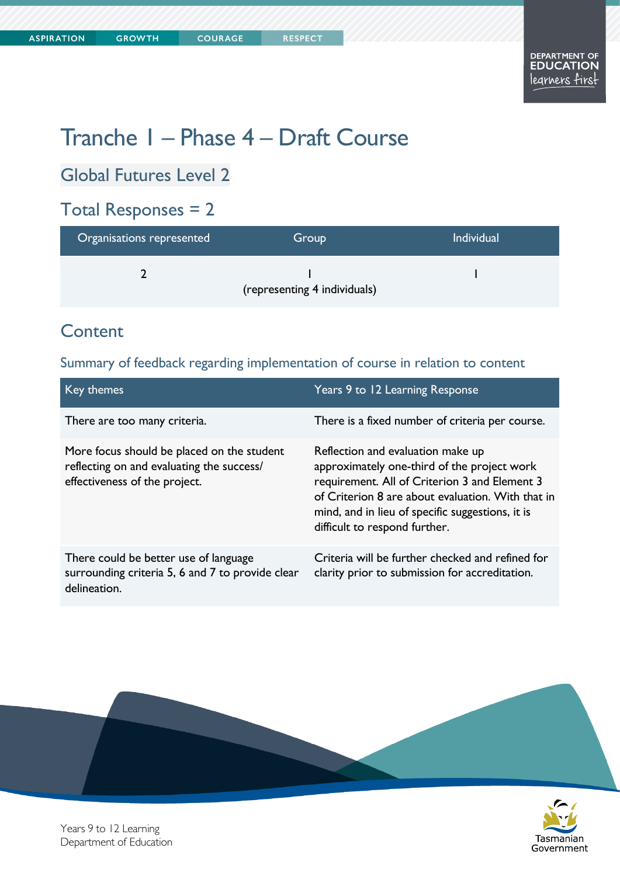# Tranche 1 – Phase 4 – Draft Course

Global Futures Level 2

### Total Responses = 2

| Organisations represented | Group                        | <b>Individual</b> |
|---------------------------|------------------------------|-------------------|
|                           | (representing 4 individuals) |                   |

### **Content**

Summary of feedback regarding implementation of course in relation to content

| Key themes                                                                                                               | Years 9 to 12 Learning Response                                                                                                                                                                                                                                             |
|--------------------------------------------------------------------------------------------------------------------------|-----------------------------------------------------------------------------------------------------------------------------------------------------------------------------------------------------------------------------------------------------------------------------|
| There are too many criteria.                                                                                             | There is a fixed number of criteria per course.                                                                                                                                                                                                                             |
| More focus should be placed on the student<br>reflecting on and evaluating the success/<br>effectiveness of the project. | Reflection and evaluation make up<br>approximately one-third of the project work<br>requirement. All of Criterion 3 and Element 3<br>of Criterion 8 are about evaluation. With that in<br>mind, and in lieu of specific suggestions, it is<br>difficult to respond further. |
| There could be better use of language<br>surrounding criteria 5, 6 and 7 to provide clear<br>delineation.                | Criteria will be further checked and refined for<br>clarity prior to submission for accreditation.                                                                                                                                                                          |





Years 9 to 12 Learning Department of Education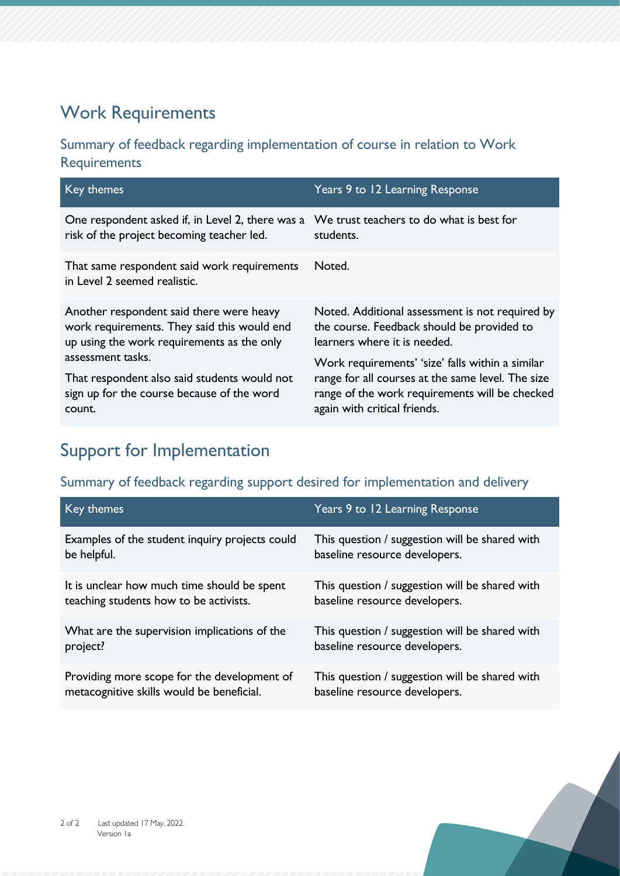### Work Requirements

#### Summary of feedback regarding implementation of course in relation to Work **Requirements**

| Key themes                                                                                                                                                                                                                                                         | Years 9 to 12 Learning Response                                                                                                                                                         |
|--------------------------------------------------------------------------------------------------------------------------------------------------------------------------------------------------------------------------------------------------------------------|-----------------------------------------------------------------------------------------------------------------------------------------------------------------------------------------|
| One respondent asked if, in Level 2, there was a We trust teachers to do what is best for<br>risk of the project becoming teacher led.                                                                                                                             | students.                                                                                                                                                                               |
| That same respondent said work requirements<br>in Level 2 seemed realistic.                                                                                                                                                                                        | Noted.                                                                                                                                                                                  |
| Another respondent said there were heavy<br>work requirements. They said this would end<br>up using the work requirements as the only<br>assessment tasks.<br>That respondent also said students would not<br>sign up for the course because of the word<br>count. | Noted. Additional assessment is not required by<br>the course. Feedback should be provided to<br>learners where it is needed.                                                           |
|                                                                                                                                                                                                                                                                    | Work requirements' 'size' falls within a similar<br>range for all courses at the same level. The size<br>range of the work requirements will be checked<br>again with critical friends. |

### Support for Implementation

#### Summary of feedback regarding support desired for implementation and delivery

| Key themes                                     | Years 9 to 12 Learning Response                |
|------------------------------------------------|------------------------------------------------|
| Examples of the student inquiry projects could | This question / suggestion will be shared with |
| be helpful.                                    | baseline resource developers.                  |
| It is unclear how much time should be spent    | This question / suggestion will be shared with |
| teaching students how to be activists.         | baseline resource developers.                  |
| What are the supervision implications of the   | This question / suggestion will be shared with |
| project?                                       | baseline resource developers.                  |
| Providing more scope for the development of    | This question / suggestion will be shared with |
| metacognitive skills would be beneficial.      | baseline resource developers.                  |